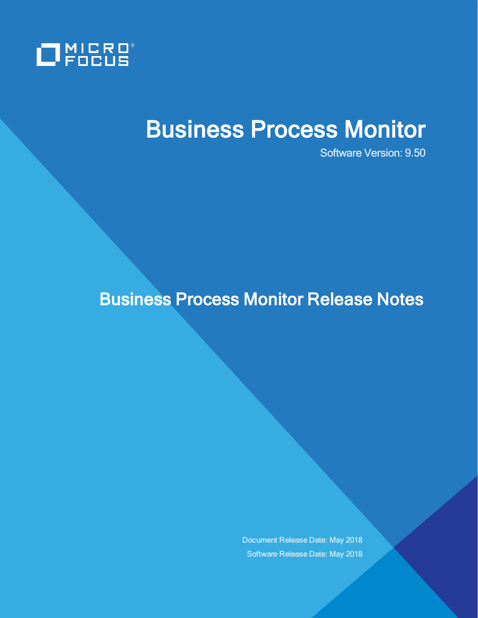

# Business Process Monitor

Software Version: 9.50

## Business Process Monitor Release Notes

Document Release Date: May 2018 Software Release Date: May 2018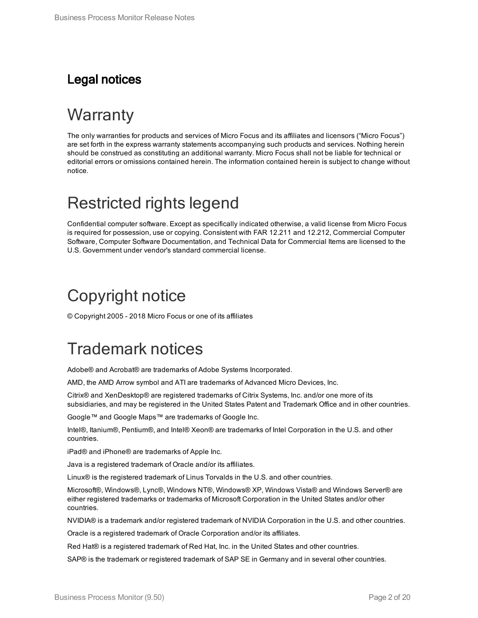### Legal notices

# **Warranty**

The only warranties for products and services of Micro Focus and its affiliates and licensors ("Micro Focus") are set forth in the express warranty statements accompanying such products and services. Nothing herein should be construed as constituting an additional warranty. Micro Focus shall not be liable for technical or editorial errors or omissions contained herein. The information contained herein is subject to change without notice.

## Restricted rights legend

Confidential computer software. Except as specifically indicated otherwise, a valid license from Micro Focus is required for possession, use or copying. Consistent with FAR 12.211 and 12.212, Commercial Computer Software, Computer Software Documentation, and Technical Data for Commercial Items are licensed to the U.S. Government under vendor's standard commercial license.

## Copyright notice

© Copyright 2005 - 2018 Micro Focus or one of its affiliates

## Trademark notices

Adobe® and Acrobat® are trademarks of Adobe Systems Incorporated.

AMD, the AMD Arrow symbol and ATI are trademarks of Advanced Micro Devices, Inc.

Citrix® and XenDesktop® are registered trademarks of Citrix Systems, Inc. and/or one more of its subsidiaries, and may be registered in the United States Patent and Trademark Office and in other countries.

Google™ and Google Maps™ are trademarks of Google Inc.

Intel®, Itanium®, Pentium®, and Intel® Xeon® are trademarks of Intel Corporation in the U.S. and other countries.

iPad® and iPhone® are trademarks of Apple Inc.

Java is a registered trademark of Oracle and/or its affiliates.

Linux® is the registered trademark of Linus Torvalds in the U.S. and other countries.

Microsoft®, Windows®, Lync®, Windows NT®, Windows® XP, Windows Vista® and Windows Server® are either registered trademarks or trademarks of Microsoft Corporation in the United States and/or other countries.

NVIDIA® is a trademark and/or registered trademark of NVIDIA Corporation in the U.S. and other countries.

Oracle is a registered trademark of Oracle Corporation and/or its affiliates.

Red Hat® is a registered trademark of Red Hat, Inc. in the United States and other countries.

SAP® is the trademark or registered trademark of SAP SE in Germany and in several other countries.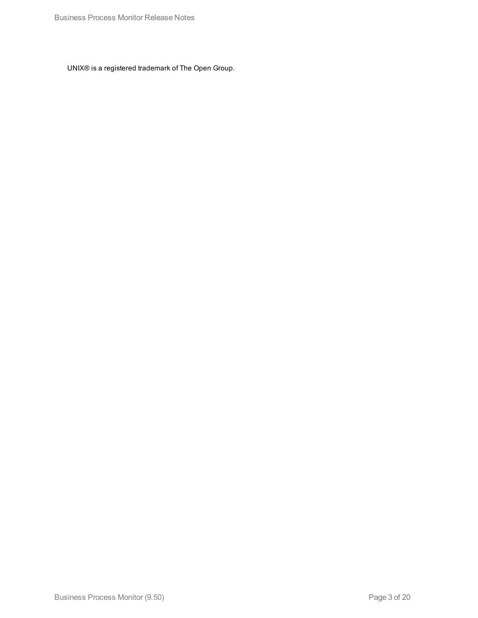UNIX® is a registered trademark of The Open Group.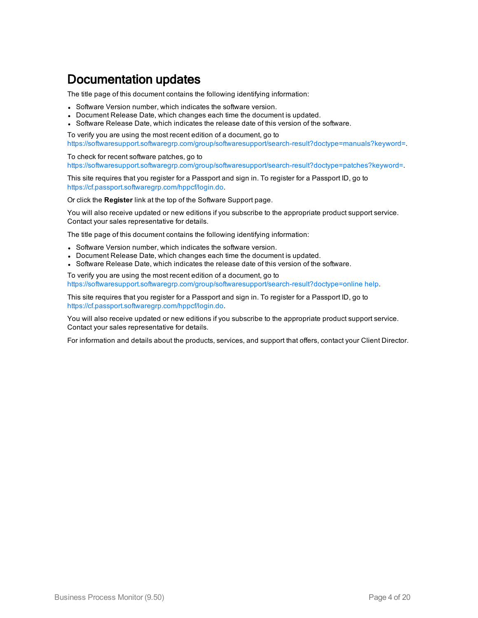### Documentation updates

The title page of this document contains the following identifying information:

- Software Version number, which indicates the software version.
- Document Release Date, which changes each time the document is updated.
- Software Release Date, which indicates the release date of this version of the software.

To verify you are using the most recent edition of a document, go to [https://softwaresupport.softwaregrp.com/group/softwaresupport/search-result?doctype=manuals?keyword=.](https://softwaresupport.softwaregrp.com/group/softwaresupport/search-result?doctype=manuals?keyword=)

To check for recent software patches, go to [https://softwaresupport.softwaregrp.com/group/softwaresupport/search-result?doctype=patches?keyword=.](https://softwaresupport.softwaregrp.com/group/softwaresupport/search-result?doctype=patches?keyword=)

This site requires that you register for a Passport and sign in. To register for a Passport ID, go to <https://cf.passport.softwaregrp.com/hppcf/login.do>.

Or click the **Register** link at the top of the Software Support page.

You will also receive updated or new editions if you subscribe to the appropriate product support service. Contact your sales representative for details.

The title page of this document contains the following identifying information:

- Software Version number, which indicates the software version.
- Document Release Date, which changes each time the document is updated.
- Software Release Date, which indicates the release date of this version of the software.

To verify you are using the most recent edition of a document, go to [https://softwaresupport.softwaregrp.com/group/softwaresupport/search-result?doctype=online](https://softwaresupport.softwaregrp.com/group/softwaresupport/search-result?doctype=online help) help.

This site requires that you register for a Passport and sign in. To register for a Passport ID, go to <https://cf.passport.softwaregrp.com/hppcf/login.do>.

You will also receive updated or new editions if you subscribe to the appropriate product support service. Contact your sales representative for details.

For information and details about the products, services, and support that offers, contact your Client Director.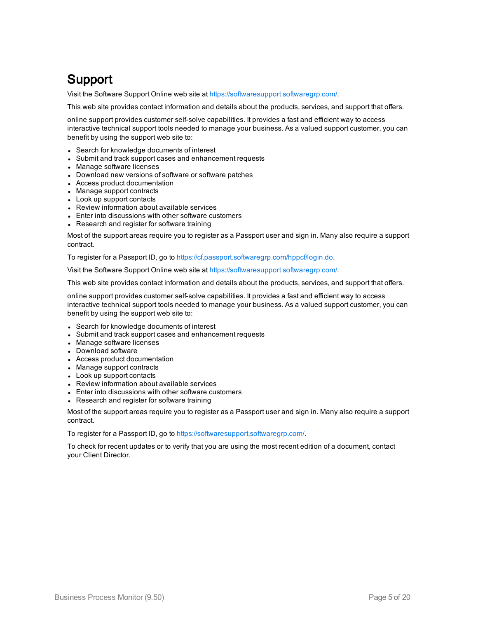### Support

Visit the Software Support Online web site at <https://softwaresupport.softwaregrp.com/>.

This web site provides contact information and details about the products, services, and support that offers.

online support provides customer self-solve capabilities. It provides a fast and efficient way to access interactive technical support tools needed to manage your business. As a valued support customer, you can benefit by using the support web site to:

- Search for knowledge documents of interest
- Submit and track support cases and enhancement requests
- Manage software licenses
- Download new versions of software or software patches
- Access product documentation
- Manage support contracts
- Look up support contacts
- Review information about available services
- Enter into discussions with other software customers
- Research and register for software training

Most of the support areas require you to register as a Passport user and sign in. Many also require a support contract.

To register for a Passport ID, go to [https://cf.passport.softwaregrp.com/hppcf/login.do.](https://cf.passport.softwaregrp.com/hppcf/login.do)

Visit the Software Support Online web site at <https://softwaresupport.softwaregrp.com/>.

This web site provides contact information and details about the products, services, and support that offers.

online support provides customer self-solve capabilities. It provides a fast and efficient way to access interactive technical support tools needed to manage your business. As a valued support customer, you can benefit by using the support web site to:

- Search for knowledge documents of interest
- Submit and track support cases and enhancement requests
- Manage software licenses
- Download software
- Access product documentation
- Manage support contracts
- Look up support contacts
- Review information about available services
- Enter into discussions with other software customers
- Research and register for software training

Most of the support areas require you to register as a Passport user and sign in. Many also require a support contract.

To register for a Passport ID, go to <https://softwaresupport.softwaregrp.com/>.

To check for recent updates or to verify that you are using the most recent edition of a document, contact your Client Director.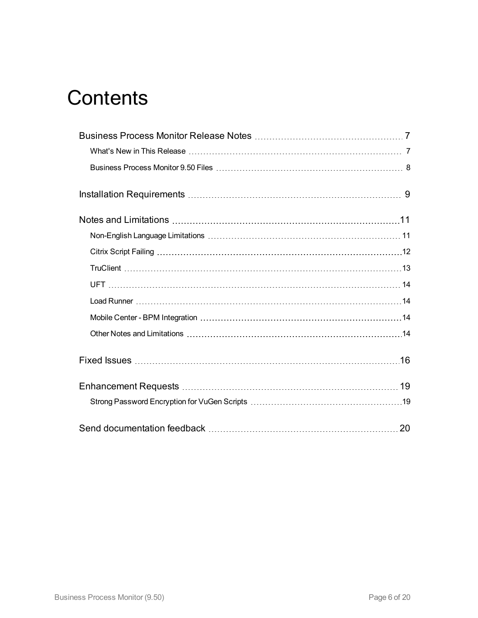# **Contents**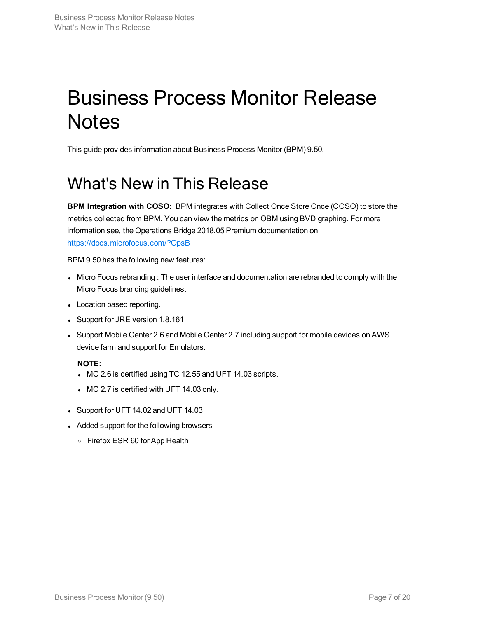# <span id="page-6-0"></span>Business Process Monitor Release **Notes**

<span id="page-6-1"></span>This guide provides information about Business Process Monitor (BPM) 9.50.

# What's New in This Release

**BPM Integration with COSO:** BPM integrates with Collect Once Store Once (COSO) to store the metrics collected from BPM. You can view the metrics on OBM using BVD graphing. For more information see, the Operations Bridge 2018.05 Premium documentation on <https://docs.microfocus.com/?OpsB>

BPM 9.50 has the following new features:

- Micro Focus rebranding : The user interface and documentation are rebranded to comply with the Micro Focus branding guidelines.
- Location based reporting.
- Support for JRE version 1.8.161
- Support Mobile Center 2.6 and Mobile Center 2.7 including support for mobile devices on AWS device farm and support for Emulators.

### **NOTE:**

- MC 2.6 is certified using TC 12.55 and UFT 14.03 scripts.
- $\bullet$  MC 2.7 is certified with UFT 14.03 only.
- Support for UFT 14.02 and UFT 14.03
- Added support for the following browsers
	- <sup>o</sup> Firefox ESR 60 for App Health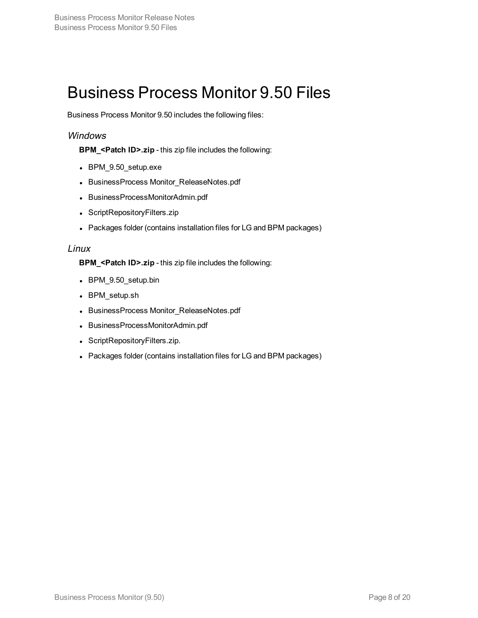## <span id="page-7-0"></span>Business Process Monitor 9.50 Files

Business Process Monitor 9.50 includes the following files:

### Windows

**BPM\_<Patch ID>.zip** - this zip file includes the following:

- BPM\_9.50\_setup.exe
- BusinessProcess Monitor\_ReleaseNotes.pdf
- BusinessProcessMonitorAdmin.pdf
- ScriptRepositoryFilters.zip
- Packages folder (contains installation files for LG and BPM packages)

### Linux

**BPM\_<Patch ID>.zip** - this zip file includes the following:

- BPM\_9.50\_setup.bin
- BPM\_setup.sh
- BusinessProcess Monitor\_ReleaseNotes.pdf
- BusinessProcessMonitorAdmin.pdf
- ScriptRepositoryFilters.zip.
- Packages folder (contains installation files for LG and BPM packages)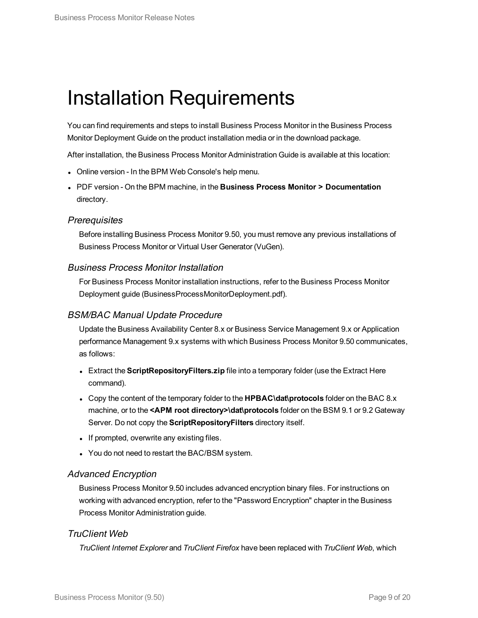# <span id="page-8-0"></span>Installation Requirements

You can find requirements and steps to install Business Process Monitor in the Business Process Monitor Deployment Guide on the product installation media or in the download package.

After installation, the Business Process Monitor Administration Guide is available at this location:

- Online version In the BPM Web Console's help menu.
- <sup>l</sup> PDF version On the BPM machine, in the **Business Process Monitor > Documentation** directory.

### **Prerequisites**

Before installing Business Process Monitor 9.50, you must remove any previous installations of Business Process Monitor or Virtual User Generator (VuGen).

### Business Process Monitor Installation

For Business Process Monitor installation instructions, refer to the Business Process Monitor Deployment guide (BusinessProcessMonitorDeployment.pdf).

### BSM/BAC Manual Update Procedure

Update the Business Availability Center 8.x or Business Service Management 9.x or Application performance Management 9.x systems with which Business Process Monitor 9.50 communicates, as follows:

- **Extract the ScriptRepositoryFilters.zip** file into a temporary folder (use the Extract Here command).
- <sup>l</sup> Copy the content of the temporary folder to the **HPBAC\dat\protocols** folder on the BAC 8.x machine, or to the **<APM root directory>\dat\protocols** folder on the BSM 9.1 or 9.2 Gateway Server. Do not copy the **ScriptRepositoryFilters** directory itself.
- If prompted, overwrite any existing files.
- You do not need to restart the BAC/BSM system.

### Advanced Encryption

Business Process Monitor 9.50 includes advanced encryption binary files. For instructions on working with advanced encryption, refer to the "Password Encryption" chapter in the Business Process Monitor Administration guide.

### TruClient Web

*TruClient Internet Explorer* and *TruClient Firefox* have been replaced with *TruClient Web*, which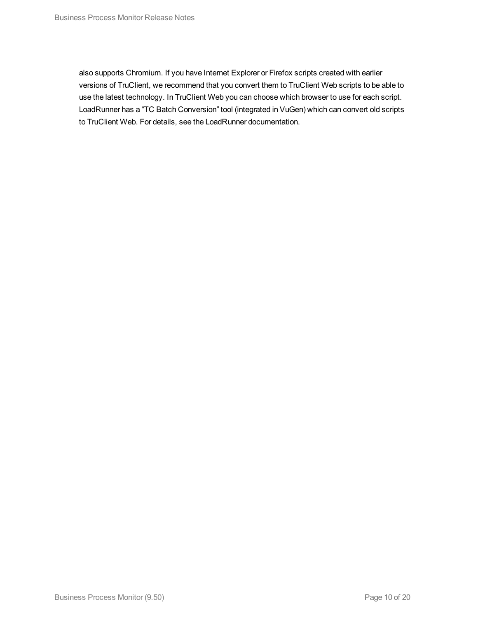also supports Chromium. If you have Internet Explorer or Firefox scripts created with earlier versions of TruClient, we recommend that you convert them to TruClient Web scripts to be able to use the latest technology. In TruClient Web you can choose which browser to use for each script. LoadRunner has a "TC Batch Conversion" tool (integrated in VuGen) which can convert old scripts to TruClient Web. For details, see the LoadRunner documentation.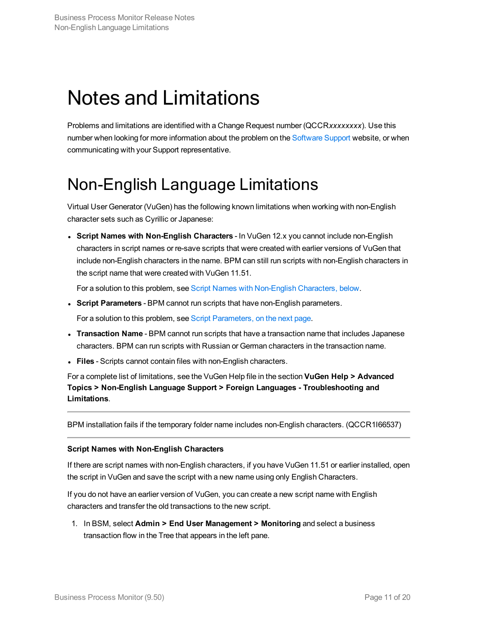# <span id="page-10-0"></span>Notes and Limitations

Problems and limitations are identified with a Change Request number (QCCR*xxxxxxxx*). Use this number when looking for more information about the problem on the [Software](https://softwaresupport.softwaregrp.com/) Support website, or when communicating with your Support representative.

# <span id="page-10-1"></span>Non-English Language Limitations

Virtual User Generator (VuGen) has the following known limitations when working with non-English character sets such as Cyrillic or Japanese:

<sup>l</sup> **Script Names with Non-English Characters** - In VuGen 12.x you cannot include non-English characters in script names or re-save scripts that were created with earlier versions of VuGen that include non-English characters in the name. BPM can still run scripts with non-English characters in the script name that were created with VuGen 11.51.

For a solution to this problem, see Script Names with [Non-English](#page-10-2) Characters, below.

<sup>l</sup> **Script Parameters** - BPM cannot run scripts that have non-English parameters.

For a solution to this problem, see Script [Parameters,](#page-11-1) on the next page.

- <sup>l</sup> **Transaction Name** BPM cannot run scripts that have a transaction name that includes Japanese characters. BPM can run scripts with Russian or German characters in the transaction name.
- **Files** Scripts cannot contain files with non-English characters.

For a complete list of limitations, see the VuGen Help file in the section **VuGen Help > Advanced Topics > Non-English Language Support > Foreign Languages - Troubleshooting and Limitations**.

BPM installation fails if the temporary folder name includes non-English characters. (QCCR1I66537)

#### <span id="page-10-2"></span>**Script Names with Non-English Characters**

If there are script names with non-English characters, if you have VuGen 11.51 or earlier installed, open the script in VuGen and save the script with a new name using only English Characters.

If you do not have an earlier version of VuGen, you can create a new script name with English characters and transfer the old transactions to the new script.

1. In BSM, select **Admin > End User Management > Monitoring** and select a business transaction flow in the Tree that appears in the left pane.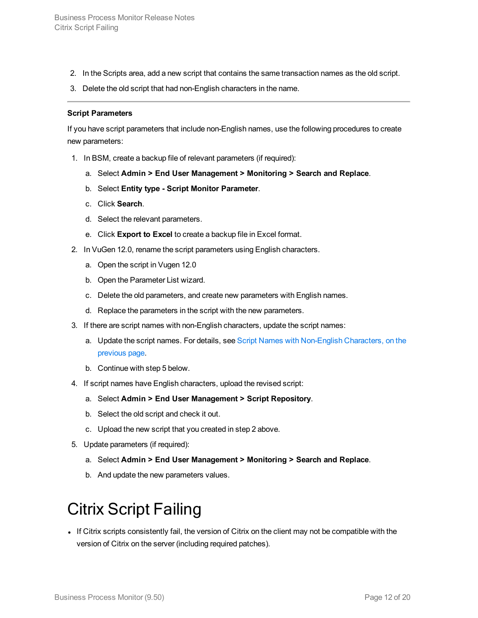- 2. In the Scripts area, add a new script that contains the same transaction names as the old script.
- 3. Delete the old script that had non-English characters in the name.

#### <span id="page-11-1"></span>**Script Parameters**

If you have script parameters that include non-English names, use the following procedures to create new parameters:

- 1. In BSM, create a backup file of relevant parameters (if required):
	- a. Select **Admin > End User Management > Monitoring > Search and Replace**.
	- b. Select **Entity type - Script Monitor Parameter**.
	- c. Click **Search**.
	- d. Select the relevant parameters.
	- e. Click **Export to Excel** to create a backup file in Excel format.
- 2. In VuGen 12.0, rename the script parameters using English characters.
	- a. Open the script in Vugen 12.0
	- b. Open the Parameter List wizard.
	- c. Delete the old parameters, and create new parameters with English names.
	- d. Replace the parameters in the script with the new parameters.
- 3. If there are script names with non-English characters, update the script names:
	- a. Update the script names. For details, see Script Names with [Non-English](#page-10-2) Characters, on the [previous](#page-10-2) page.
	- b. Continue with step 5 below.
- 4. If script names have English characters, upload the revised script:
	- a. Select **Admin > End User Management > Script Repository**.
	- b. Select the old script and check it out.
	- c. Upload the new script that you created in step 2 above.
- 5. Update parameters (if required):
	- a. Select **Admin > End User Management > Monitoring > Search and Replace**.
	- b. And update the new parameters values.

# <span id="page-11-0"></span>Citrix Script Failing

If Citrix scripts consistently fail, the version of Citrix on the client may not be compatible with the version of Citrix on the server (including required patches).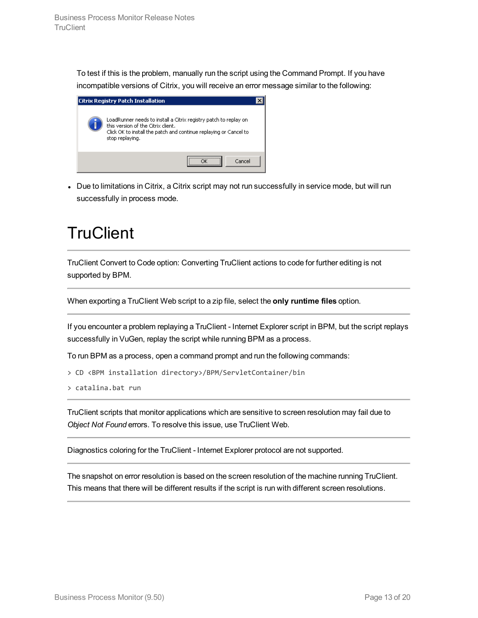To test if this is the problem, manually run the script using the Command Prompt. If you have incompatible versions of Citrix, you will receive an error message similar to the following:

| <b>Citrix Registry Patch Installation</b>                                                                                                                                                      |  |
|------------------------------------------------------------------------------------------------------------------------------------------------------------------------------------------------|--|
| LoadRunner needs to install a Citrix registry patch to replay on<br>this version of the Citrix client.<br>Click OK to install the patch and continue replaying or Cancel to<br>stop replaying. |  |
| Cancel                                                                                                                                                                                         |  |

• Due to limitations in Citrix, a Citrix script may not run successfully in service mode, but will run successfully in process mode.

# <span id="page-12-0"></span>**TruClient**

TruClient Convert to Code option: Converting TruClient actions to code for further editing is not supported by BPM.

When exporting a TruClient Web script to a zip file, select the **only runtime files** option.

If you encounter a problem replaying a TruClient - Internet Explorer script in BPM, but the script replays successfully in VuGen, replay the script while running BPM as a process.

To run BPM as a process, open a command prompt and run the following commands:

```
> CD <BPM installation directory>/BPM/ServletContainer/bin
```
> catalina.bat run

TruClient scripts that monitor applications which are sensitive to screen resolution may fail due to *Object Not Found* errors. To resolve this issue, use TruClient Web.

Diagnostics coloring for the TruClient - Internet Explorer protocol are not supported.

The snapshot on error resolution is based on the screen resolution of the machine running TruClient. This means that there will be different results if the script is run with different screen resolutions.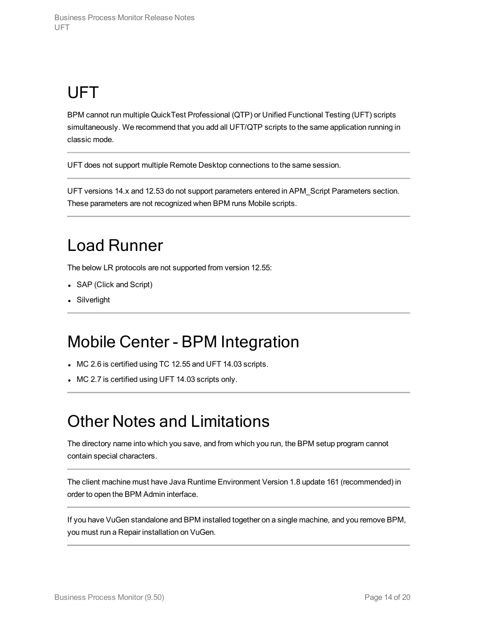# <span id="page-13-0"></span>UFT

BPM cannot run multiple QuickTest Professional (QTP) or Unified Functional Testing (UFT) scripts simultaneously. We recommend that you add all UFT/QTP scripts to the same application running in classic mode.

UFT does not support multiple Remote Desktop connections to the same session.

UFT versions 14.x and 12.53 do not support parameters entered in APM\_Script Parameters section. These parameters are not recognized when BPM runs Mobile scripts.

# <span id="page-13-1"></span>Load Runner

The below LR protocols are not supported from version 12.55:

- SAP (Click and Script)
- <span id="page-13-2"></span>• Silverlight

## Mobile Center - BPM Integration

- MC 2.6 is certified using TC 12.55 and UFT 14.03 scripts.
- <span id="page-13-3"></span>• MC 2.7 is certified using UFT 14.03 scripts only.

# Other Notes and Limitations

The directory name into which you save, and from which you run, the BPM setup program cannot contain special characters.

The client machine must have Java Runtime Environment Version 1.8 update 161 (recommended) in order to open the BPM Admin interface.

If you have VuGen standalone and BPM installed together on a single machine, and you remove BPM, you must run a Repair installation on VuGen.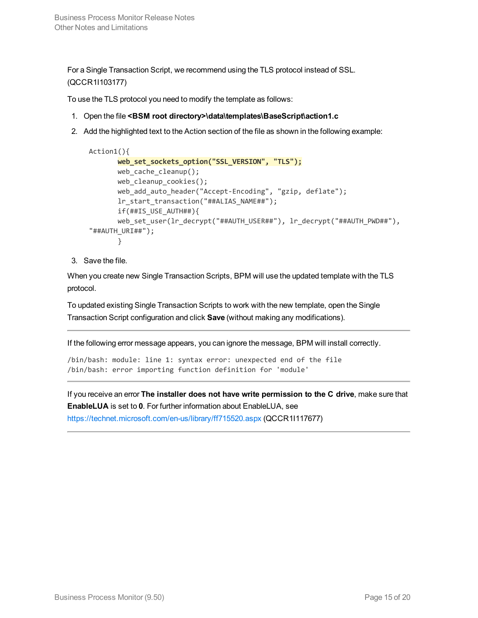For a Single Transaction Script, we recommend using the TLS protocol instead of SSL. (QCCR1I103177)

To use the TLS protocol you need to modify the template as follows:

- 1. Open the file **<BSM root directory>\data\templates\BaseScript\action1.c**
- 2. Add the highlighted text to the Action section of the file as shown in the following example:

```
Action1(){
      web_set_sockets_option("SSL_VERSION", "TLS");
      web_cache_cleanup();
      web_cleanup_cookies();
      web_add_auto_header("Accept-Encoding", "gzip, deflate");
       lr_start_transaction("##ALIAS_NAME##");
      if(##IS_USE_AUTH##){
      web_set_user(lr_decrypt("##AUTH_USER##"), lr_decrypt("##AUTH_PWD##"),
"##AUTH_URI##");
       }
```
3. Save the file.

When you create new Single Transaction Scripts, BPM will use the updated template with the TLS protocol.

To updated existing Single Transaction Scripts to work with the new template, open the Single Transaction Script configuration and click **Save** (without making any modifications).

If the following error message appears, you can ignore the message, BPM will install correctly.

/bin/bash: module: line 1: syntax error: unexpected end of the file /bin/bash: error importing function definition for 'module'

If you receive an error **The installer does not have write permission to the C drive**, make sure that **EnableLUA** is set to **0**. For further information about EnableLUA, see <https://technet.microsoft.com/en-us/library/ff715520.aspx> (QCCR1I117677)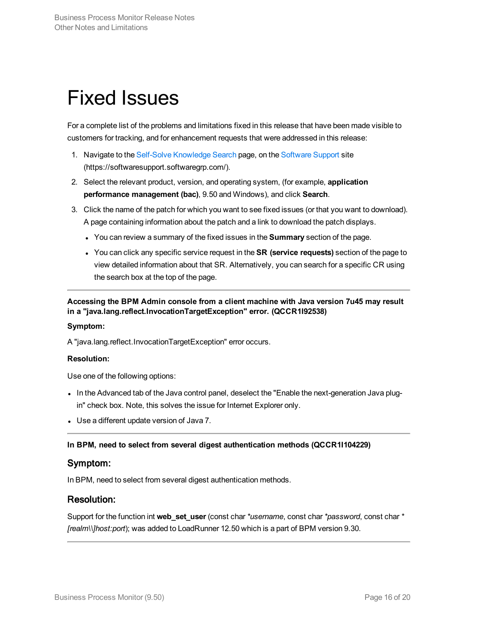# <span id="page-15-0"></span>Fixed Issues

For a complete list of the problems and limitations fixed in this release that have been made visible to customers for tracking, and for enhancement requests that were addressed in this release:

- 1. Navigate to the Self-Solve [Knowledge](https://softwaresupport.softwaregrp.com/group/softwaresupport/) Search page, on the [Software](https://softwaresupport.softwaregrp.com/) Support site (https://softwaresupport.softwaregrp.com/).
- 2. Select the relevant product, version, and operating system, (for example, **application performance management (bac)**, 9.50 and Windows), and click **Search**.
- 3. Click the name of the patch for which you want to see fixed issues (or that you want to download). A page containing information about the patch and a link to download the patch displays.
	- <sup>l</sup> You can review a summary of the fixed issues in the **Summary** section of the page.
	- <sup>l</sup> You can click any specific service request in the **SR (service requests)** section of the page to view detailed information about that SR. Alternatively, you can search for a specific CR using the search box at the top of the page.

**Accessing the BPM Admin console from a client machine with Java version 7u45 may result in a "java.lang.reflect.InvocationTargetException" error. (QCCR1I92538)**

### **Symptom:**

A "java.lang.reflect.InvocationTargetException" error occurs.

### **Resolution:**

Use one of the following options:

- In the Advanced tab of the Java control panel, deselect the "Enable the next-generation Java plugin" check box. Note, this solves the issue for Internet Explorer only.
- Use a different update version of Java 7.

### **In BPM, need to select from several digest authentication methods (QCCR1I104229)**

### Symptom:

In BPM, need to select from several digest authentication methods.

### Resolution:

Support for the function int **web\_set\_user** (const char*\*username*, const char*\*password*, const char*\* [realm\\]host:port*); was added to LoadRunner 12.50 which is a part of BPM version 9.30.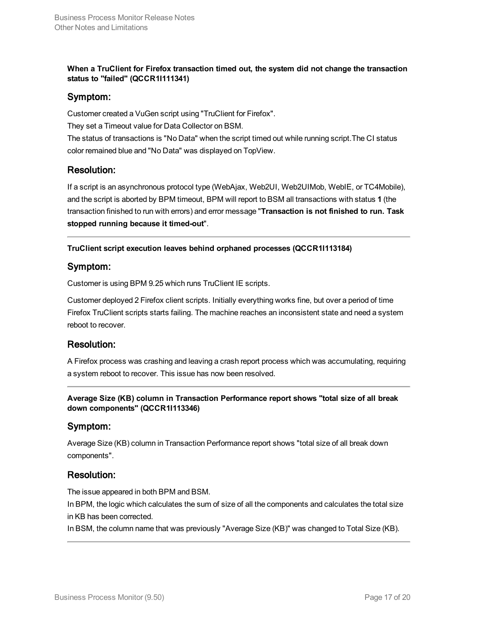**When a TruClient for Firefox transaction timed out, the system did not change the transaction status to "failed" (QCCR1I111341)**

### Symptom:

Customer created a VuGen script using "TruClient for Firefox". They set a Timeout value for Data Collector on BSM.

The status of transactions is "No Data" when the script timed out while running script.The CI status color remained blue and "No Data" was displayed on TopView.

### Resolution:

If a script is an asynchronous protocol type (WebAjax, Web2UI, Web2UIMob, WebIE, or TC4Mobile), and the script is aborted by BPM timeout, BPM will report to BSM all transactions with status **1** (the transaction finished to run with errors) and error message "**Transaction is not finished to run. Task stopped running because it timed-out**".

### **TruClient script execution leaves behind orphaned processes (QCCR1I113184)**

### Symptom:

Customer is using BPM 9.25 which runs TruClient IE scripts.

Customer deployed 2 Firefox client scripts. Initially everything works fine, but over a period of time Firefox TruClient scripts starts failing. The machine reaches an inconsistent state and need a system reboot to recover.

### Resolution:

A Firefox process was crashing and leaving a crash report process which was accumulating, requiring a system reboot to recover. This issue has now been resolved.

**Average Size (KB) column in Transaction Performance report shows "total size of all break down components" (QCCR1I113346)**

### Symptom:

Average Size (KB) column in Transaction Performance report shows "total size of all break down components".

### Resolution:

The issue appeared in both BPM and BSM.

In BPM, the logic which calculates the sum of size of all the components and calculates the total size in KB has been corrected.

In BSM, the column name that was previously "Average Size (KB)" was changed to Total Size (KB).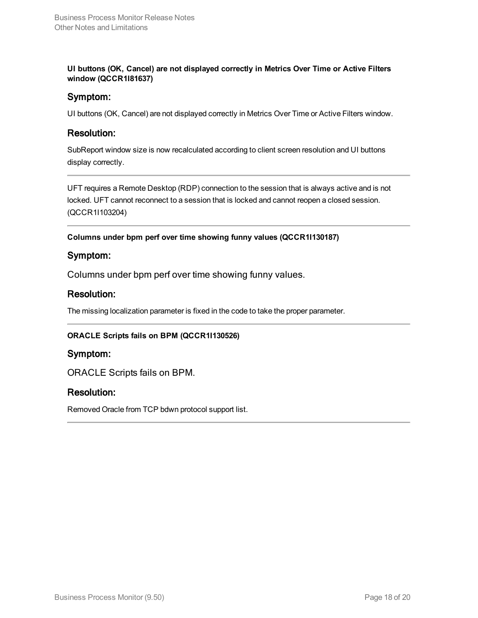**UI buttons (OK, Cancel) are not displayed correctly in Metrics Over Time or Active Filters window (QCCR1I81637)**

### Symptom:

UI buttons (OK, Cancel) are not displayed correctly in Metrics Over Time or Active Filters window.

### Resolution:

SubReport window size is now recalculated according to client screen resolution and UI buttons display correctly.

UFT requires a Remote Desktop (RDP) connection to the session that is always active and is not locked. UFT cannot reconnect to a session that is locked and cannot reopen a closed session. (QCCR1I103204)

**Columns under bpm perf over time showing funny values (QCCR1I130187)**

### Symptom:

Columns under bpm perf over time showing funny values.

### Resolution:

The missing localization parameter is fixed in the code to take the proper parameter.

### **ORACLE Scripts fails on BPM (QCCR1I130526)**

### Symptom:

ORACLE Scripts fails on BPM.

### Resolution:

Removed Oracle from TCP bdwn protocol support list.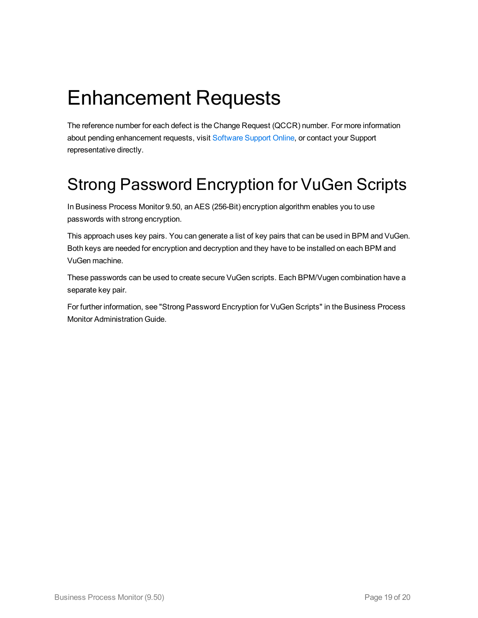# <span id="page-18-0"></span>Enhancement Requests

The reference number for each defect is the Change Request (QCCR) number. For more information about pending enhancement requests, visit [Software](https://softwaresupport.softwaregrp.com/group/softwaresupport/search-result?doctype=patches?keyword) Support Online, or contact your Support representative directly.

# <span id="page-18-1"></span>Strong Password Encryption for VuGen Scripts

In Business Process Monitor 9.50, an AES (256-Bit) encryption algorithm enables you to use passwords with strong encryption.

This approach uses key pairs. You can generate a list of key pairs that can be used in BPM and VuGen. Both keys are needed for encryption and decryption and they have to be installed on each BPM and VuGen machine.

These passwords can be used to create secure VuGen scripts. Each BPM/Vugen combination have a separate key pair.

For further information, see "Strong Password Encryption for VuGen Scripts" in the Business Process Monitor Administration Guide.